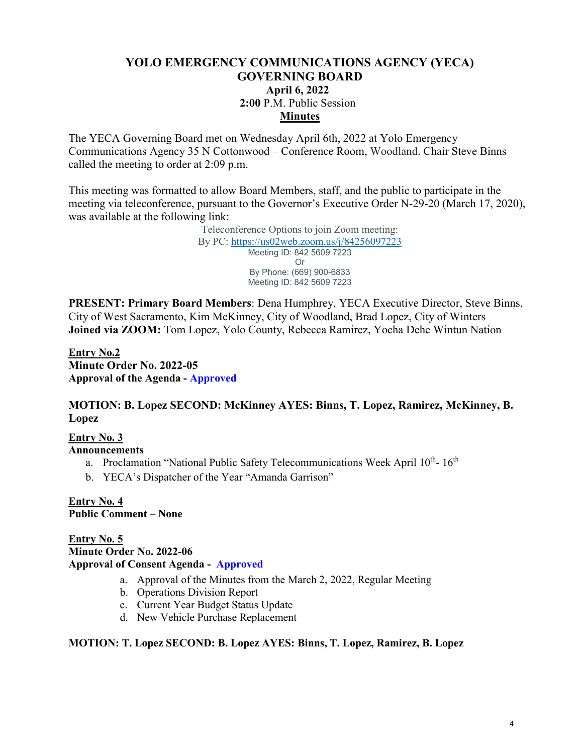## **YOLO EMERGENCY COMMUNICATIONS AGENCY (YECA) GOVERNING BOARD April 6, 2022 2:00** P.M. Public Session **Minutes**

The YECA Governing Board met on Wednesday April 6th, 2022 at Yolo Emergency Communications Agency 35 N Cottonwood – Conference Room, Woodland. Chair Steve Binns called the meeting to order at 2:09 p.m.

This meeting was formatted to allow Board Members, staff, and the public to participate in the meeting via teleconference, pursuant to the Governor's Executive Order N-29-20 (March 17, 2020), was available at the following link:

> Teleconference Options to join Zoom meeting: By PC:<https://us02web.zoom.us/j/84256097223> Meeting ID: 842 5609 7223 Or By Phone: (669) 900-6833 Meeting ID: 842 5609 7223

**PRESENT: Primary Board Members**: Dena Humphrey, YECA Executive Director, Steve Binns, City of West Sacramento, Kim McKinney, City of Woodland, Brad Lopez, City of Winters **Joined via ZOOM:** Tom Lopez, Yolo County, Rebecca Ramirez, Yocha Dehe Wintun Nation

**Entry No.2 Minute Order No. 2022-05 Approval of the Agenda - Approved** 

## **MOTION: B. Lopez SECOND: McKinney AYES: Binns, T. Lopez, Ramirez, McKinney, B. Lopez**

**Entry No. 3** 

## **Announcements**

- a. Proclamation "National Public Safety Telecommunications Week April 10<sup>th</sup>- 16<sup>th</sup>
- b. YECA's Dispatcher of the Year "Amanda Garrison"

**Entry No. 4 Public Comment – None** 

**Entry No. 5 Minute Order No. 2022-06 Approval of Consent Agenda - Approved**

- a. Approval of the Minutes from the March 2, 2022, Regular Meeting
- b. Operations Division Report
- c. Current Year Budget Status Update
- d. New Vehicle Purchase Replacement

#### **MOTION: T. Lopez SECOND: B. Lopez AYES: Binns, T. Lopez, Ramirez, B. Lopez**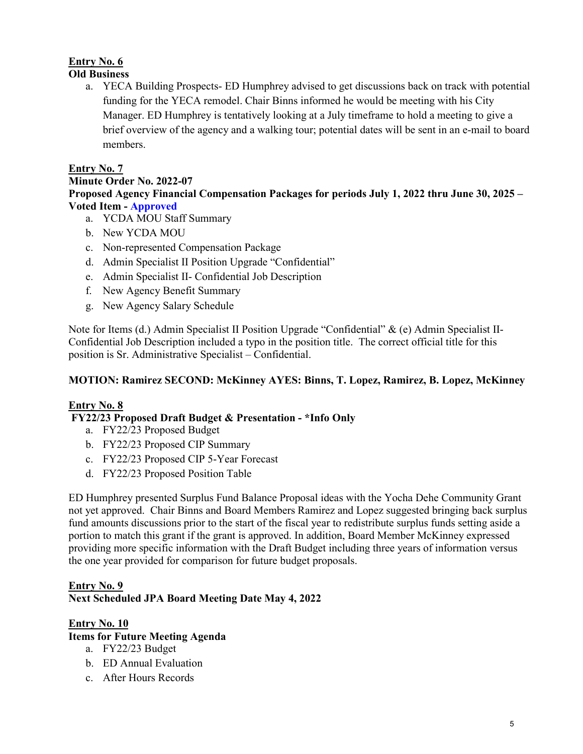# **Entry No. 6**

## **Old Business**

a. YECA Building Prospects- ED Humphrey advised to get discussions back on track with potential funding for the YECA remodel. Chair Binns informed he would be meeting with his City Manager. ED Humphrey is tentatively looking at a July timeframe to hold a meeting to give a brief overview of the agency and a walking tour; potential dates will be sent in an e-mail to board members.

## **Entry No. 7**

### **Minute Order No. 2022-07 Proposed Agency Financial Compensation Packages for periods July 1, 2022 thru June 30, 2025 – Voted Item - Approved**

- a. YCDA MOU Staff Summary
- b. New YCDA MOU
- c. Non-represented Compensation Package
- d. Admin Specialist II Position Upgrade "Confidential"
- e. Admin Specialist II- Confidential Job Description
- f. New Agency Benefit Summary
- g. New Agency Salary Schedule

Note for Items (d.) Admin Specialist II Position Upgrade "Confidential" & (e) Admin Specialist II-Confidential Job Description included a typo in the position title. The correct official title for this position is Sr. Administrative Specialist – Confidential.

## **MOTION: Ramirez SECOND: McKinney AYES: Binns, T. Lopez, Ramirez, B. Lopez, McKinney**

## **Entry No. 8**

## **FY22/23 Proposed Draft Budget & Presentation - \*Info Only**

- a. FY22/23 Proposed Budget
- b. FY22/23 Proposed CIP Summary
- c. FY22/23 Proposed CIP 5-Year Forecast
- d. FY22/23 Proposed Position Table

ED Humphrey presented Surplus Fund Balance Proposal ideas with the Yocha Dehe Community Grant not yet approved. Chair Binns and Board Members Ramirez and Lopez suggested bringing back surplus fund amounts discussions prior to the start of the fiscal year to redistribute surplus funds setting aside a portion to match this grant if the grant is approved. In addition, Board Member McKinney expressed providing more specific information with the Draft Budget including three years of information versus the one year provided for comparison for future budget proposals.

## **Entry No. 9 Next Scheduled JPA Board Meeting Date May 4, 2022**

#### **Entry No. 10 Items for Future Meeting Agenda**

- a. FY22/23 Budget
- b. ED Annual Evaluation
- c. After Hours Records